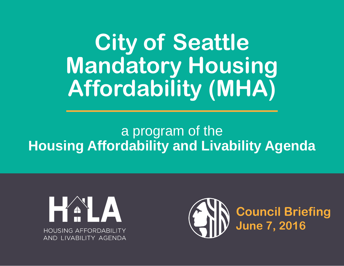**City of Seattle Mandatory Housing Affordability (MHA)**

## a program of the **Housing Affordability and Livability Agenda**



**Council Briefing June 7, 2016**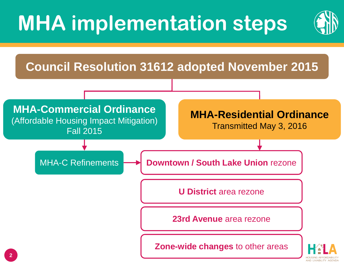## **MHA implementation steps**



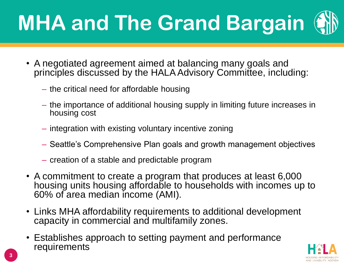# **MHA and The Grand Bargain**

- A negotiated agreement aimed at balancing many goals and principles discussed by the HALA Advisory Committee, including:
	- ‒ the critical need for affordable housing
	- ‒ the importance of additional housing supply in limiting future increases in housing cost
	- ‒ integration with existing voluntary incentive zoning
	- ‒ Seattle's Comprehensive Plan goals and growth management objectives
	- ‒ creation of a stable and predictable program
- A commitment to create a program that produces at least 6,000 housing units housing affordable to households with incomes up to 60% of area median income (AMI).
- Links MHA affordability requirements to additional development capacity in commercial and multifamily zones.
- Establishes approach to setting payment and performance requirements

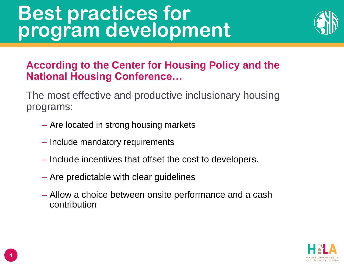## **Best practices for program development**



## **According to the Center for Housing Policy and the National Housing Conference…**

The most effective and productive inclusionary housing programs:

- ‒ Are located in strong housing markets
- ‒ Include mandatory requirements
- ‒ Include incentives that offset the cost to developers.
- ‒ Are predictable with clear guidelines
- ‒ Allow a choice between onsite performance and a cash contribution

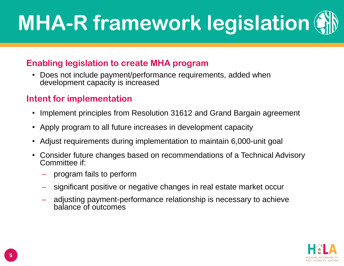# **MHA-R framework legislation**

#### **Enabling legislation to create MHA program**

• Does not include payment/performance requirements, added when development capacity is increased

### **Intent for implementation**

- Implement principles from Resolution 31612 and Grand Bargain agreement
- Apply program to all future increases in development capacity
- Adjust requirements during implementation to maintain 6,000-unit goal
- Consider future changes based on recommendations of a Technical Advisory Committee if:
	- ‒ program fails to perform
	- ‒ significant positive or negative changes in real estate market occur
	- ‒ adjusting payment-performance relationship is necessary to achieve balance of outcomes

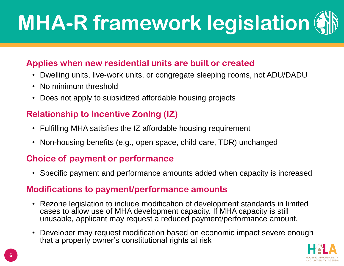# **MHA-R framework legislation**

#### **Applies when new residential units are built or created**

- Dwelling units, live-work units, or congregate sleeping rooms, not ADU/DADU
- No minimum threshold
- Does not apply to subsidized affordable housing projects

### **Relationship to Incentive Zoning (IZ)**

- Fulfilling MHA satisfies the IZ affordable housing requirement
- Non-housing benefits (e.g., open space, child care, TDR) unchanged

#### **Choice of payment or performance**

• Specific payment and performance amounts added when capacity is increased

#### **Modifications to payment/performance amounts**

- Rezone legislation to include modification of development standards in limited cases to allow use of MHA development capacity. If MHA capacity is still unusable, applicant may request a reduced payment/performance amount.
- Developer may request modification based on economic impact severe enough that a property owner's constitutional rights at risk

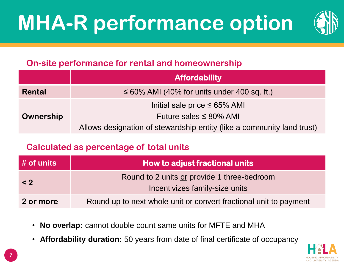## **MHA-R performance option**



### **On-site performance for rental and homeownership**

|           | <b>Affordability</b>                                                   |  |  |
|-----------|------------------------------------------------------------------------|--|--|
| Rental    | $\leq 60\%$ AMI (40% for units under 400 sq. ft.)                      |  |  |
|           | Initial sale price $\leq 65\%$ AMI                                     |  |  |
| Ownership | Future sales $\leq 80\%$ AMI                                           |  |  |
|           | Allows designation of stewardship entity (like a community land trust) |  |  |

### **Calculated as percentage of total units**

| $\frac{1}{2}$ # of units | <b>How to adjust fractional units</b>                                         |  |  |
|--------------------------|-------------------------------------------------------------------------------|--|--|
| $\leq$ 2                 | Round to 2 units or provide 1 three-bedroom<br>Incentivizes family-size units |  |  |
| 2 or more                | Round up to next whole unit or convert fractional unit to payment             |  |  |

- **No overlap:** cannot double count same units for MFTE and MHA
- **Affordability duration:** 50 years from date of final certificate of occupancy

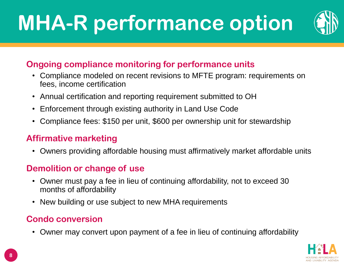## **MHA-R performance option**



### **Ongoing compliance monitoring for performance units**

- Compliance modeled on recent revisions to MFTE program: requirements on fees, income certification
- Annual certification and reporting requirement submitted to OH
- Enforcement through existing authority in Land Use Code
- Compliance fees: \$150 per unit, \$600 per ownership unit for stewardship

### **Affirmative marketing**

• Owners providing affordable housing must affirmatively market affordable units

### **Demolition or change of use**

- Owner must pay a fee in lieu of continuing affordability, not to exceed 30 months of affordability
- New building or use subject to new MHA requirements

### **Condo conversion**

• Owner may convert upon payment of a fee in lieu of continuing affordability

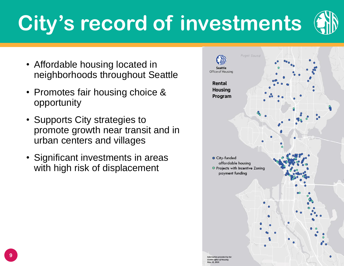# **City's record of investments**

- Affordable housing located in neighborhoods throughout Seattle
- Promotes fair housing choice & opportunity
- Supports City strategies to promote growth near transit and in urban centers and villages
- Significant investments in areas with high risk of displacement

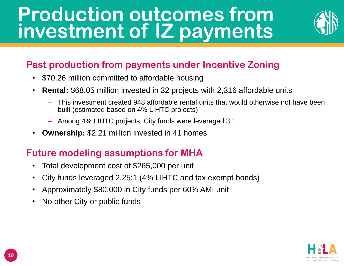## **Production outcomes from investment of IZ payments**



### **Past production from payments under Incentive Zoning**

- \$70.26 million committed to affordable housing
- **Rental:** \$68.05 million invested in 32 projects with 2,316 affordable units
	- ‒ This investment created 948 affordable rental units that would otherwise not have been built (estimated based on 4% LIHTC projects)
	- ‒ Among 4% LIHTC projects, City funds were leveraged 3:1
- **Ownership:** \$2.21 million invested in 41 homes

### **Future modeling assumptions for MHA**

- Total development cost of \$265,000 per unit
- City funds leveraged 2.25:1 (4% LIHTC and tax exempt bonds)
- Approximately \$80,000 in City funds per 60% AMI unit
- No other City or public funds

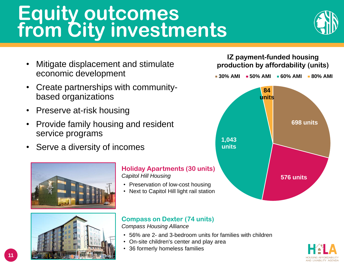## **Equity outcomes from City investments**



- Mitigate displacement and stimulate economic development
- Create partnerships with communitybased organizations
- Preserve at-risk housing
- Provide family housing and resident service programs
- Serve a diversity of incomes





#### **Holiday Apartments (30 units)** *Capitol Hill Housing*

- Preservation of low-cost housing
- Next to Capitol Hill light rail station

#### **Compass on Dexter (74 units)**

*Compass Housing Alliance*

- 56% are 2- and 3-bedroom units for families with children
- On-site children's center and play area
- 36 formerly homeless families



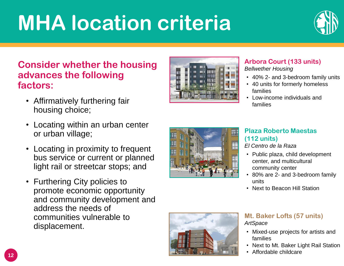## **MHA location criteria**



#### **Consider whether the housing advances the following factors:**

- Affirmatively furthering fair housing choice;
- Locating within an urban center or urban village;
- Locating in proximity to frequent bus service or current or planned light rail or streetcar stops; and
- Furthering City policies to promote economic opportunity and community development and address the needs of communities vulnerable to displacement.



#### **Arbora Court (133 units)** *Bellwether Housing*

- 
- 40% 2- and 3-bedroom family units
- 40 units for formerly homeless families
- Low-income individuals and families



#### **Plaza Roberto Maestas (112 units)**

*El Centro de la Raza*

- Public plaza, child development center, and multicultural community center
- 80% are 2- and 3-bedroom family units
- Next to Beacon Hill Station



#### **Mt. Baker Lofts (57 units)** *ArtSpace*

- Mixed-use projects for artists and families
- Next to Mt. Baker Light Rail Station
- Affordable childcare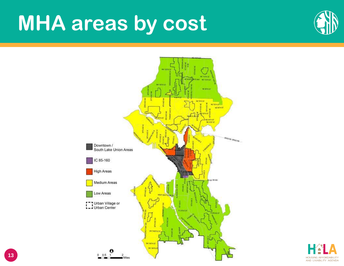## **MHA areas by cost**





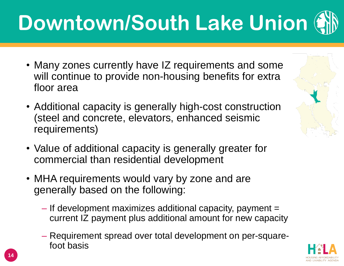# **Downtown/South Lake Union**

- Many zones currently have IZ requirements and some will continue to provide non-housing benefits for extra floor area
- Additional capacity is generally high-cost construction (steel and concrete, elevators, enhanced seismic requirements)
- Value of additional capacity is generally greater for commercial than residential development
- MHA requirements would vary by zone and are generally based on the following:
	- $-$  If development maximizes additional capacity, payment  $=$ current IZ payment plus additional amount for new capacity
	- ‒ Requirement spread over total development on per-squarefoot basis



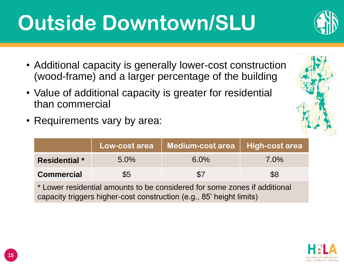## **Outside Downtown/SLU**

- Additional capacity is generally lower-cost construction (wood-frame) and a larger percentage of the building
- Value of additional capacity is greater for residential than commercial
- Requirements vary by area:

|                                                                           |         | │Low-cost area │ Medium-cost area │ High-cost area |         |  |
|---------------------------------------------------------------------------|---------|----------------------------------------------------|---------|--|
| <b>Residential</b> *                                                      | $5.0\%$ | $6.0\%$                                            | $7.0\%$ |  |
| <b>Commercial</b>                                                         | \$5     | $\$7$                                              | \$8     |  |
| * Lower residential amounts to be considered for some zones if additional |         |                                                    |         |  |

\* Lower residential amounts to be considered for some zones if additional capacity triggers higher-cost construction (e.g., 85' height limits)





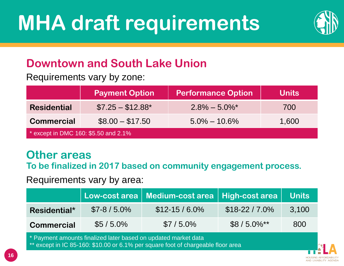

## **Downtown and South Lake Union**

Requirements vary by zone:

|                                       | <b>Payment Option</b> | <b>Performance Option</b>    | <b>Units</b> |  |
|---------------------------------------|-----------------------|------------------------------|--------------|--|
| <b>Residential</b>                    | $$7.25 - $12.88$ *    | $2.8\% - 5.0\%$ <sup>*</sup> | 700          |  |
| <b>Commercial</b>                     | $$8.00 - $17.50$      | $5.0\% - 10.6\%$             | 1,600        |  |
| * except in DMC 160: $$5.50$ and 2.1% |                       |                              |              |  |

## **Other areas**

**To be finalized in 2017 based on community engagement process.**

Requirements vary by area:

|                   |              | Low-cost area Medium-cost area High-cost area Units |                          |       |
|-------------------|--------------|-----------------------------------------------------|--------------------------|-------|
| Residential*      | $$7-8/5.0\%$ | $$12-15/6.0\%$                                      | $$18-22/7.0\%$           | 3,100 |
| <b>Commercial</b> | $$5/5.0\%$   | $$7/5.0\%$                                          | $$8/5.0\%$ <sup>**</sup> | 800   |

\* Payment amounts finalized later based on updated market data

except in IC 85-160: \$10.00 or 6.1% per square foot of chargeable floor area

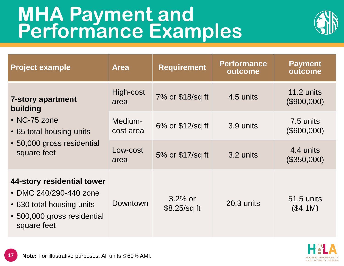## **MHA Payment and Performance Examples**



| <b>Project example</b>                                                                                                          | <b>Area</b>          | <b>Requirement</b>           | <b>Performance</b><br>outcome | <b>Payment</b><br>outcome |
|---------------------------------------------------------------------------------------------------------------------------------|----------------------|------------------------------|-------------------------------|---------------------------|
| <b>7-story apartment</b><br>building                                                                                            | High-cost<br>area    | 7% or \$18/sq ft             | 4.5 units                     | 11.2 units<br>(\$900,000) |
| • NC-75 zone<br>• 65 total housing units                                                                                        | Medium-<br>cost area | 6% or \$12/sq ft             | 3.9 units                     | 7.5 units<br>(\$600,000)  |
| • 50,000 gross residential<br>square feet                                                                                       | Low-cost<br>area     | 5% or \$17/sq ft             | 3.2 units                     | 4.4 units<br>(\$350,000)  |
| 44-story residential tower<br>• DMC 240/290-440 zone<br>• 630 total housing units<br>• 500,000 gross residential<br>square feet | Downtown             | $3.2\%$ or<br>$$8.25$ /sq ft | 20.3 units                    | 51.5 units<br>(\$4.1M)    |

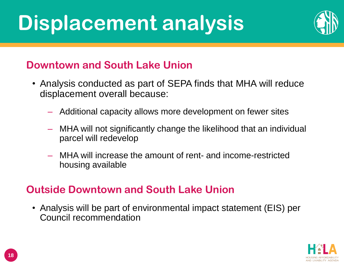## **Displacement analysis**



## **Downtown and South Lake Union**

- Analysis conducted as part of SEPA finds that MHA will reduce displacement overall because:
	- Additional capacity allows more development on fewer sites
	- ‒ MHA will not significantly change the likelihood that an individual parcel will redevelop
	- ‒ MHA will increase the amount of rent- and income-restricted housing available

### **Outside Downtown and South Lake Union**

• Analysis will be part of environmental impact statement (EIS) per Council recommendation

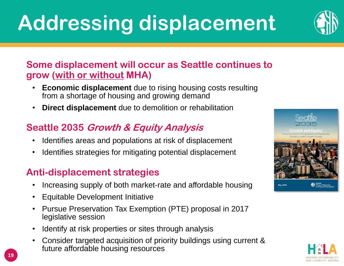## **Addressing displacement**

### **Some displacement will occur as Seattle continues to grow (with or without MHA)**

- **Economic displacement** due to rising housing costs resulting from a shortage of housing and growing demand
- **Direct displacement** due to demolition or rehabilitation

### **Seattle 2035 Growth & Equity Analysis**

- Identifies areas and populations at risk of displacement
- Identifies strategies for mitigating potential displacement

### **Anti-displacement strategies**

- Increasing supply of both market-rate and affordable housing
- Equitable Development Initiative
- Pursue Preservation Tax Exemption (PTE) proposal in 2017 legislative session
- Identify at risk properties or sites through analysis
- Consider targeted acquisition of priority buildings using current & future affordable housing resources